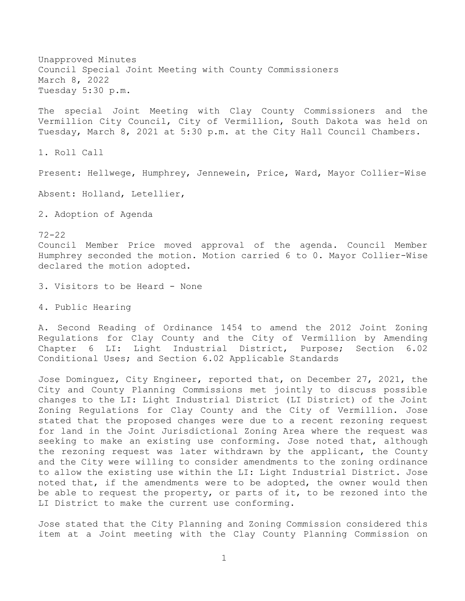Unapproved Minutes Council Special Joint Meeting with County Commissioners March 8, 2022 Tuesday 5:30 p.m.

The special Joint Meeting with Clay County Commissioners and the Vermillion City Council, City of Vermillion, South Dakota was held on Tuesday, March 8, 2021 at 5:30 p.m. at the City Hall Council Chambers.

1. Roll Call

Present: Hellwege, Humphrey, Jennewein, Price, Ward, Mayor Collier-Wise

Absent: Holland, Letellier,

2. Adoption of Agenda

72-22

Council Member Price moved approval of the agenda. Council Member Humphrey seconded the motion. Motion carried 6 to 0. Mayor Collier-Wise declared the motion adopted.

3. Visitors to be Heard - None

4. Public Hearing

A. Second Reading of Ordinance 1454 to amend the 2012 Joint Zoning Regulations for Clay County and the City of Vermillion by Amending Chapter 6 LI: Light Industrial District, Purpose; Section 6.02 Conditional Uses; and Section 6.02 Applicable Standards

Jose Dominguez, City Engineer, reported that, on December 27, 2021, the City and County Planning Commissions met jointly to discuss possible changes to the LI: Light Industrial District (LI District) of the Joint Zoning Regulations for Clay County and the City of Vermillion. Jose stated that the proposed changes were due to a recent rezoning request for land in the Joint Jurisdictional Zoning Area where the request was seeking to make an existing use conforming. Jose noted that, although the rezoning request was later withdrawn by the applicant, the County and the City were willing to consider amendments to the zoning ordinance to allow the existing use within the LI: Light Industrial District. Jose noted that, if the amendments were to be adopted, the owner would then be able to request the property, or parts of it, to be rezoned into the LI District to make the current use conforming.

Jose stated that the City Planning and Zoning Commission considered this item at a Joint meeting with the Clay County Planning Commission on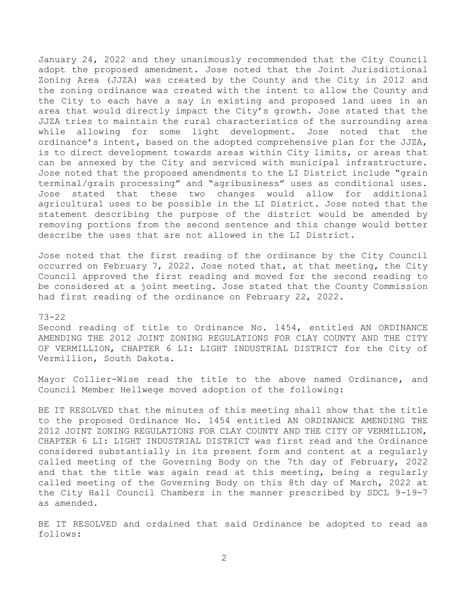January 24, 2022 and they unanimously recommended that the City Council adopt the proposed amendment. Jose noted that the Joint Jurisdictional Zoning Area (JJZA) was created by the County and the City in 2012 and the zoning ordinance was created with the intent to allow the County and the City to each have a say in existing and proposed land uses in an area that would directly impact the City's growth. Jose stated that the JJZA tries to maintain the rural characteristics of the surrounding area while allowing for some light development. Jose noted that the ordinance's intent, based on the adopted comprehensive plan for the JJZA, is to direct development towards areas within City limits, or areas that can be annexed by the City and serviced with municipal infrastructure. Jose noted that the proposed amendments to the LI District include "grain terminal/grain processing" and "agribusiness" uses as conditional uses. Jose stated that these two changes would allow for additional agricultural uses to be possible in the LI District. Jose noted that the statement describing the purpose of the district would be amended by removing portions from the second sentence and this change would better describe the uses that are not allowed in the LI District.

Jose noted that the first reading of the ordinance by the City Council occurred on February 7, 2022. Jose noted that, at that meeting, the City Council approved the first reading and moved for the second reading to be considered at a joint meeting. Jose stated that the County Commission had first reading of the ordinance on February 22, 2022.

## 73-22

Second reading of title to Ordinance No. 1454, entitled AN ORDINANCE AMENDING THE 2012 JOINT ZONING REGULATIONS FOR CLAY COUNTY AND THE CITY OF VERMILLION, CHAPTER 6 LI: LIGHT INDUSTRIAL DISTRICT for the City of Vermillion, South Dakota.

Mayor Collier-Wise read the title to the above named Ordinance, and Council Member Hellwege moved adoption of the following:

BE IT RESOLVED that the minutes of this meeting shall show that the title to the proposed Ordinance No. 1454 entitled AN ORDINANCE AMENDING THE 2012 JOINT ZONING REGULATIONS FOR CLAY COUNTY AND THE CITY OF VERMILLION, CHAPTER 6 LI: LIGHT INDUSTRIAL DISTRICT was first read and the Ordinance considered substantially in its present form and content at a regularly called meeting of the Governing Body on the 7th day of February, 2022 and that the title was again read at this meeting, being a regularly called meeting of the Governing Body on this 8th day of March, 2022 at the City Hall Council Chambers in the manner prescribed by SDCL 9-19-7 as amended.

BE IT RESOLVED and ordained that said Ordinance be adopted to read as follows: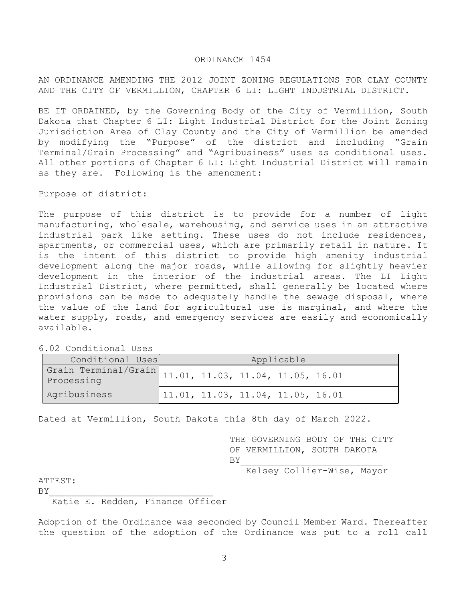### ORDINANCE 1454

AN ORDINANCE AMENDING THE 2012 JOINT ZONING REGULATIONS FOR CLAY COUNTY AND THE CITY OF VERMILLION, CHAPTER 6 LI: LIGHT INDUSTRIAL DISTRICT.

BE IT ORDAINED, by the Governing Body of the City of Vermillion, South Dakota that Chapter 6 LI: Light Industrial District for the Joint Zoning Jurisdiction Area of Clay County and the City of Vermillion be amended by modifying the "Purpose" of the district and including "Grain Terminal/Grain Processing" and "Agribusiness" uses as conditional uses. All other portions of Chapter 6 LI: Light Industrial District will remain as they are. Following is the amendment:

Purpose of district:

The purpose of this district is to provide for a number of light manufacturing, wholesale, warehousing, and service uses in an attractive industrial park like setting. These uses do not include residences, apartments, or commercial uses, which are primarily retail in nature. It is the intent of this district to provide high amenity industrial development along the major roads, while allowing for slightly heavier development in the interior of the industrial areas. The LI Light Industrial District, where permitted, shall generally be located where provisions can be made to adequately handle the sewage disposal, where the value of the land for agricultural use is marginal, and where the water supply, roads, and emergency services are easily and economically available.

| Conditional Uses | Applicable                                             |  |  |  |  |  |
|------------------|--------------------------------------------------------|--|--|--|--|--|
|                  | Grain Terminal/Grain 11.01, 11.03, 11.04, 11.05, 16.01 |  |  |  |  |  |
| Agribusiness     | 11.01, 11.03, 11.04, 11.05, 16.01                      |  |  |  |  |  |

6.02 Conditional Uses

Dated at Vermillion, South Dakota this 8th day of March 2022.

THE GOVERNING BODY OF THE CITY OF VERMILLION, SOUTH DAKOTA  $BY$ 

Kelsey Collier-Wise, Mayor

ATTEST:

 $BY$ 

Katie E. Redden, Finance Officer

Adoption of the Ordinance was seconded by Council Member Ward. Thereafter the question of the adoption of the Ordinance was put to a roll call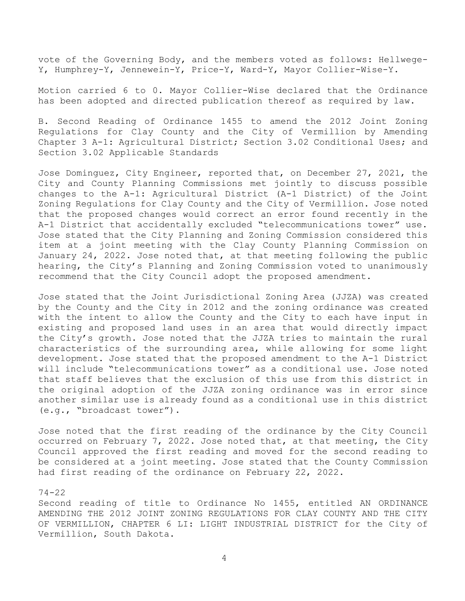vote of the Governing Body, and the members voted as follows: Hellwege-Y, Humphrey-Y, Jennewein-Y, Price-Y, Ward-Y, Mayor Collier-Wise-Y.

Motion carried 6 to 0. Mayor Collier-Wise declared that the Ordinance has been adopted and directed publication thereof as required by law.

B. Second Reading of Ordinance 1455 to amend the 2012 Joint Zoning Regulations for Clay County and the City of Vermillion by Amending Chapter 3 A-1: Agricultural District; Section 3.02 Conditional Uses; and Section 3.02 Applicable Standards

Jose Dominguez, City Engineer, reported that, on December 27, 2021, the City and County Planning Commissions met jointly to discuss possible changes to the A-1: Agricultural District (A-1 District) of the Joint Zoning Regulations for Clay County and the City of Vermillion. Jose noted that the proposed changes would correct an error found recently in the A-1 District that accidentally excluded "telecommunications tower" use. Jose stated that the City Planning and Zoning Commission considered this item at a joint meeting with the Clay County Planning Commission on January 24, 2022. Jose noted that, at that meeting following the public hearing, the City's Planning and Zoning Commission voted to unanimously recommend that the City Council adopt the proposed amendment.

Jose stated that the Joint Jurisdictional Zoning Area (JJZA) was created by the County and the City in 2012 and the zoning ordinance was created with the intent to allow the County and the City to each have input in existing and proposed land uses in an area that would directly impact the City's growth. Jose noted that the JJZA tries to maintain the rural characteristics of the surrounding area, while allowing for some light development. Jose stated that the proposed amendment to the A-1 District will include "telecommunications tower" as a conditional use. Jose noted that staff believes that the exclusion of this use from this district in the original adoption of the JJZA zoning ordinance was in error since another similar use is already found as a conditional use in this district (e.g., "broadcast tower").

Jose noted that the first reading of the ordinance by the City Council occurred on February 7, 2022. Jose noted that, at that meeting, the City Council approved the first reading and moved for the second reading to be considered at a joint meeting. Jose stated that the County Commission had first reading of the ordinance on February 22, 2022.

## 74-22

Second reading of title to Ordinance No 1455, entitled AN ORDINANCE AMENDING THE 2012 JOINT ZONING REGULATIONS FOR CLAY COUNTY AND THE CITY OF VERMILLION, CHAPTER 6 LI: LIGHT INDUSTRIAL DISTRICT for the City of Vermillion, South Dakota.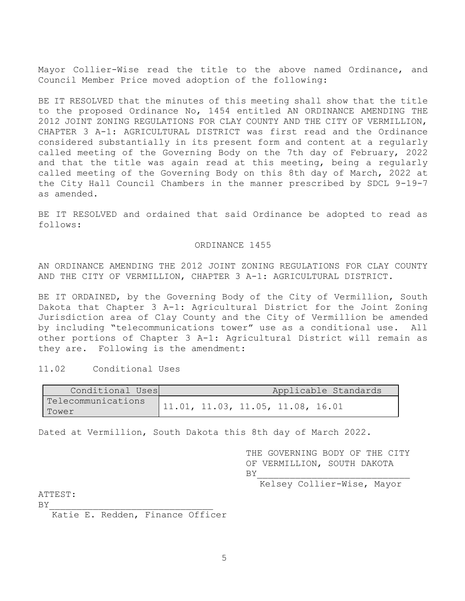Mayor Collier-Wise read the title to the above named Ordinance, and Council Member Price moved adoption of the following:

BE IT RESOLVED that the minutes of this meeting shall show that the title to the proposed Ordinance No, 1454 entitled AN ORDINANCE AMENDING THE 2012 JOINT ZONING REGULATIONS FOR CLAY COUNTY AND THE CITY OF VERMILLION, CHAPTER 3 A-1: AGRICULTURAL DISTRICT was first read and the Ordinance considered substantially in its present form and content at a regularly called meeting of the Governing Body on the 7th day of February, 2022 and that the title was again read at this meeting, being a regularly called meeting of the Governing Body on this 8th day of March, 2022 at the City Hall Council Chambers in the manner prescribed by SDCL 9-19-7 as amended.

BE IT RESOLVED and ordained that said Ordinance be adopted to read as follows:

#### ORDINANCE 1455

AN ORDINANCE AMENDING THE 2012 JOINT ZONING REGULATIONS FOR CLAY COUNTY AND THE CITY OF VERMILLION, CHAPTER 3 A-1: AGRICULTURAL DISTRICT.

BE IT ORDAINED, by the Governing Body of the City of Vermillion, South Dakota that Chapter 3 A-1: Agricultural District for the Joint Zoning Jurisdiction area of Clay County and the City of Vermillion be amended by including "telecommunications tower" use as a conditional use. All other portions of Chapter 3 A-1: Agricultural District will remain as they are. Following is the amendment:

# 11.02 Conditional Uses

| Conditional Uses   |  |                                   | Applicable Standards |
|--------------------|--|-----------------------------------|----------------------|
| Telecommunications |  | 11.01, 11.03, 11.05, 11.08, 16.01 |                      |
| Tower              |  |                                   |                      |

Dated at Vermillion, South Dakota this 8th day of March 2022.

 THE GOVERNING BODY OF THE CITY OF VERMILLION, SOUTH DAKOTA  $BY$ 

Kelsey Collier-Wise, Mayor

ATTEST:

 $BY$ 

Katie E. Redden, Finance Officer